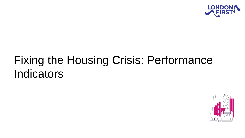

# Fixing the Housing Crisis: Performance Indicators

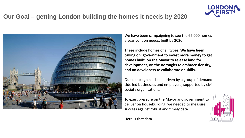

#### **Our Goal – getting London building the homes it needs by 2020**



We have been campaigning to see the 66,000 homes a year London needs, built by 2020.

These include homes of all types. **We have been calling on: government to invest more money to get homes built, on the Mayor to release land for development, on the Boroughs to embrace density, and on developers to collaborate on skills.**

Our campaign has been driven by a group of demand side led businesses and employers, supported by civil society organisations.

To exert pressure on the Mayor and government to deliver on housebuilding, we needed to measure success against robust and timely data.

Here is that data.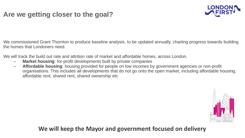#### **Are we getting closer to the goal?**



We commissioned Grant Thornton to produce baseline analysis, to be updated annually, charting progress towards building the homes that Londoners need.

We will track the build out rate and attrition rate of market and affordable homes, across London.

- **Market housing:** for-profit developments built by private companies
- **Affordable housing**: housing provided for people on low incomes by government agencies or non-profit organisations. This includes all developments that do not go onto the open market, including affordable housing, affordable rent, shared rent, shared ownership etc



**We will keep the Mayor and government focused on delivery**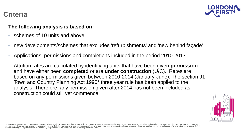

#### **Criteria**

#### **The following analysis is based on:**

- schemes of 10 units and above
- new developments/schemes that excludes 'refurbishments' and 'new behind façade'
- Applications, permissions and completions included in the period 2010-2017
- Attrition rates are calculated by identifying units that have been given **permission** and have either been **completed** or are **under construction** (U/C). Rates are based on any permissions given between 2010-2014 (January-June). The section 91 Town and Country Planning Act 1990\* three year rule has been applied to the analysis. Therefore, any permission given after 2014 has not been included as construction could still yet commence.



\*Please note analysis has not taken in to account where: The local planning authority may wish to consider whether a variation in the time period could assist in the delivery of development. For example, a shorter time eri years is not long enough to allow all the necessary preparations to be completed before development can start.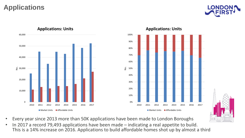# **Applications**







**Applications: Units**

- Every year since 2013 more than 50K applications have been made to London Boroughs
- In 2017 a record 79,493 applications have been made indicating a real appetite to build. This is a 14% increase on 2016. Applications to build affordable homes shot up by almost a third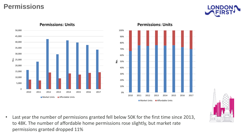#### **Permissions**





**Permissions: Units**

**Permissions: Units**





**No.**

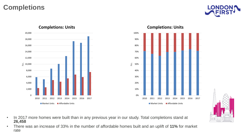## **Completions**







**Completions: Units**

- In 2017 more homes were built than in any previous year in our study. Total completions stand at **26,458**
- There was an increase of 33% in the number of affordable homes built and an uplift of **11%** for market rate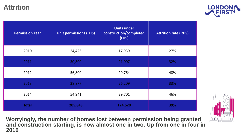#### **Attrition**



| <b>Permission Year</b> | <b>Unit permissions (LHS)</b> | <b>Units under</b><br>construction/completed<br>(LHS) | <b>Attrition rate (RHS)</b> |  |
|------------------------|-------------------------------|-------------------------------------------------------|-----------------------------|--|
| 2010                   | 24,425                        | 17,939                                                | 27%                         |  |
| 2011                   | 30,800                        | 21,007                                                | 32%                         |  |
| 2012                   | 56,800                        | 29,764                                                | 48%                         |  |
| 2013                   | 38,877                        | 26,209                                                | 33%                         |  |
| 2014                   | 54,941                        | 29,701                                                | 46%                         |  |
| <b>Total</b>           | 205,843                       | 124,620                                               | 39%                         |  |

**Worryingly, the number of homes lost between permission being granted and construction starting, is now almost one in two. Up from one in four in 2010**

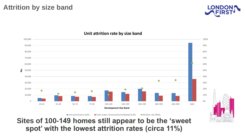

#### **Unit attrition rate by size band**



# **Sites of 100-149 homes still appear to be the 'sweet spot' with the lowest attrition rates (circa 11%)**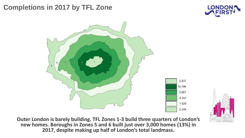# **Completions in 2017 by TFL Zone**





**Outer London is barely building. TFL Zones 1-3 build three quarters of London's new homes. Boroughs in Zones 5 and 6 built just over 3,000 homes (13%) in 2017, despite making up half of London's total landmass.**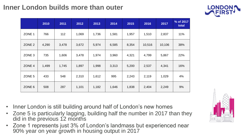# **Inner London builds more than outer**



|                   | 2010  | 2011  | 2012  | 2013  | 2014  | 2015  | 2016   | 2017   | % of 2017<br>total |
|-------------------|-------|-------|-------|-------|-------|-------|--------|--------|--------------------|
| ZONE 1            | 766   | 112   | 1,069 | 1,736 | 1,581 | 1,957 | 1,510  | 2,837  | 11%                |
| ZONE <sub>2</sub> | 4,290 | 3,478 | 3,672 | 5,974 | 6,585 | 8,354 | 10,516 | 10,106 | 38%                |
| ZONE <sub>3</sub> | 735   | 1,606 | 3,478 | 1,974 | 3,960 | 4,321 | 4,799  | 5,867  | 22%                |
| ZONE 4            | 1,499 | 1,745 | 1,897 | 1,998 | 3,313 | 5,200 | 2,537  | 4,341  | 16%                |
| ZONE 5            | 433   | 548   | 2,310 | 1,612 | 995   | 2,243 | 2,119  | 1,029  | 4%                 |
| ZONE 6            | 508   | 287   | 1,101 | 1,182 | 1,646 | 1,838 | 2,404  | 2,249  | 9%                 |

- Inner London is still building around half of London's new homes
- Zone 5 is particularly lagging, building half the number in 2017 than they did in the previous 12 months
- Zone 1 represents just 3% of London's landmass but experienced near 90% year on year growth in housing output in 2017

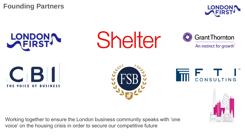**Founding Partners**





Shelter



An instinct for growth







Working together to ensure the London business community speaks with 'one voice' on the housing crisis in order to secure our competitive future